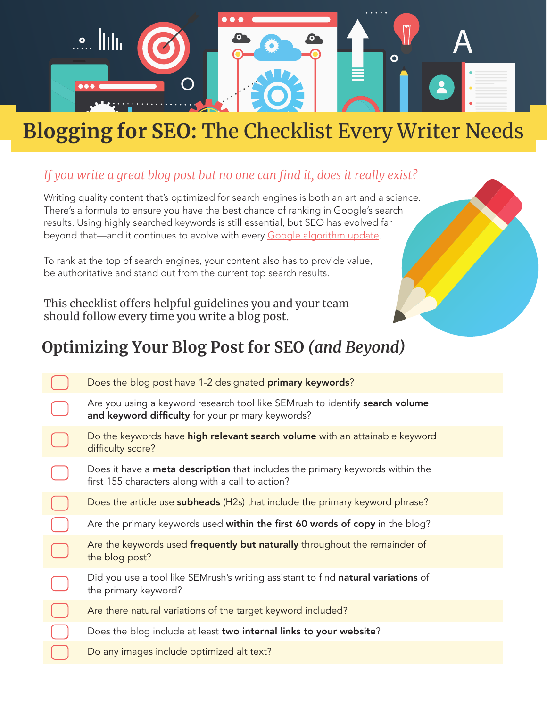

## **Blogging for SEO:** The Checklist Every Writer Needs

## *If you write a great blog post but no one can find it, does it really exist?*

Writing quality content that's optimized for search engines is both an art and a science. There's a formula to ensure you have the best chance of ranking in Google's search results. Using highly searched keywords is still essential, but SEO has evolved far beyond that—and it continues to evolve with every [Google algorithm update.](https://www.kunocreative.com/blog/google-algorithm-updates-2019)

To rank at the top of search engines, your content also has to provide value, be authoritative and stand out from the current top search results.

This checklist offers helpful guidelines you and your team should follow every time you write a blog post.

## **Optimizing Your Blog Post for SEO** *(and Beyond)*

| Does the blog post have 1-2 designated primary keywords?                                                                                  |
|-------------------------------------------------------------------------------------------------------------------------------------------|
| Are you using a keyword research tool like SEMrush to identify search volume<br>and keyword difficulty for your primary keywords?         |
| Do the keywords have <b>high relevant search volume</b> with an attainable keyword<br>difficulty score?                                   |
| Does it have a <b>meta description</b> that includes the primary keywords within the<br>first 155 characters along with a call to action? |
| Does the article use subheads (H2s) that include the primary keyword phrase?                                                              |
| Are the primary keywords used within the first 60 words of copy in the blog?                                                              |
| Are the keywords used frequently but naturally throughout the remainder of<br>the blog post?                                              |
| Did you use a tool like SEMrush's writing assistant to find natural variations of<br>the primary keyword?                                 |
| Are there natural variations of the target keyword included?                                                                              |
| Does the blog include at least two internal links to your website?                                                                        |
| Do any images include optimized alt text?                                                                                                 |